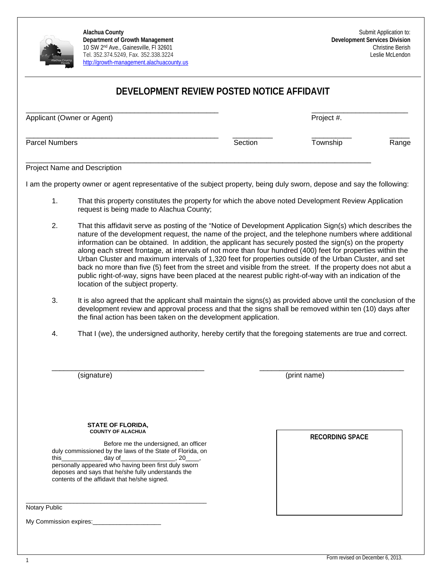

# **DEVELOPMENT REVIEW POSTED NOTICE AFFIDAVIT**

| Applicant (Owner or Agent) |         | Project #. |       |
|----------------------------|---------|------------|-------|
| <b>Parcel Numbers</b>      | Section | Township   | Range |

Project Name and Description

I am the property owner or agent representative of the subject property, being duly sworn, depose and say the following:

\_\_\_\_\_\_\_\_\_\_\_\_\_\_\_\_\_\_\_\_\_\_\_\_\_\_\_\_\_\_\_\_\_\_\_\_\_\_\_\_\_\_\_\_\_\_\_\_\_\_\_\_\_\_\_\_\_\_\_\_\_\_\_\_\_\_\_\_\_\_\_\_\_\_\_\_\_\_\_\_\_\_\_\_\_\_

- 1. That this property constitutes the property for which the above noted Development Review Application request is being made to Alachua County;
- 2. That this affidavit serve as posting of the "Notice of Development Application Sign(s) which describes the nature of the development request, the name of the project, and the telephone numbers where additional information can be obtained. In addition, the applicant has securely posted the sign(s) on the property along each street frontage, at intervals of not more than four hundred (400) feet for properties within the Urban Cluster and maximum intervals of 1,320 feet for properties outside of the Urban Cluster, and set back no more than five (5) feet from the street and visible from the street. If the property does not abut a public right-of-way, signs have been placed at the nearest public right-of-way with an indication of the location of the subject property.
- 3. It is also agreed that the applicant shall maintain the signs(s) as provided above until the conclusion of the development review and approval process and that the signs shall be removed within ten (10) days after the final action has been taken on the development application.
- 4. That I (we), the undersigned authority, hereby certify that the foregoing statements are true and correct.

\_\_\_\_\_\_\_\_\_\_\_\_\_\_\_\_\_\_\_\_\_\_\_\_\_\_\_\_\_\_\_\_\_\_\_\_\_\_ \_\_\_\_\_\_\_\_\_\_\_\_\_\_\_\_\_\_\_\_\_\_\_\_\_\_\_\_\_\_\_\_\_\_\_\_

(signature) (print name)

#### **STATE OF FLORIDA, COUNTY OF ALACHUA**

\_\_\_\_\_\_\_\_\_\_\_\_\_\_\_\_\_\_\_\_\_\_\_\_\_\_\_\_\_\_\_\_\_\_\_\_\_\_\_\_\_\_\_\_\_\_\_\_\_\_\_\_\_

Before me the undersigned, an officer duly commissioned by the laws of the State of Florida, on this\_\_\_\_\_\_\_\_\_\_\_\_\_\_\_\_\_\_ day of personally appeared who having been first duly sworn deposes and says that he/she fully understands the contents of the affidavit that he/she signed.

Notary Public

My Commission expires:

**RECORDING SPACE**